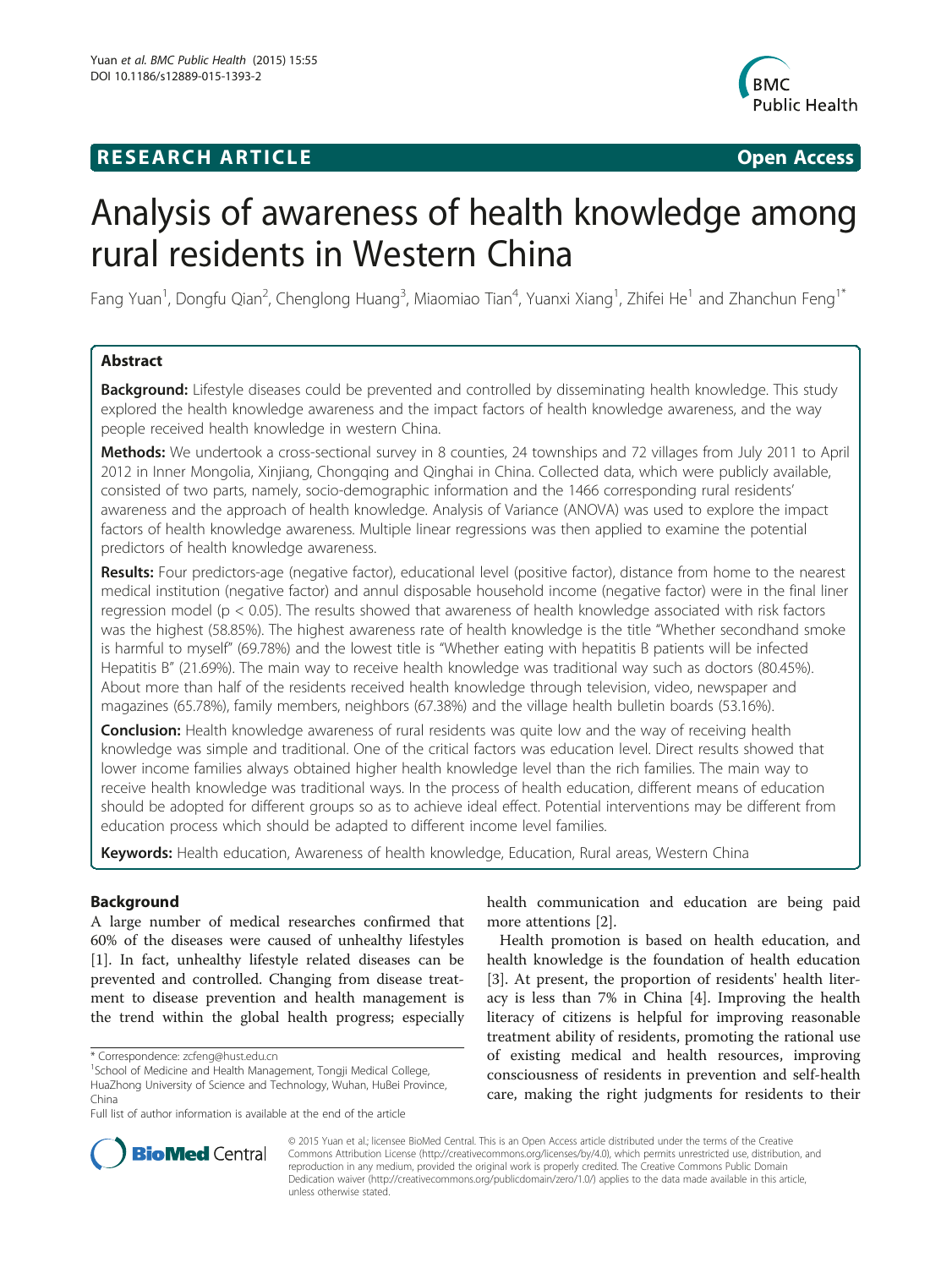# **RESEARCH ARTICLE Example 2018 CONSIDERING CONSIDERING CONSIDERING CONSIDERING CONSIDERING CONSIDERING CONSIDERING CONSIDERING CONSIDERING CONSIDERING CONSIDERING CONSIDERING CONSIDERING CONSIDERING CONSIDERING CONSIDE**



# Analysis of awareness of health knowledge among rural residents in Western China

Fang Yuan<sup>1</sup>, Dongfu Qian<sup>2</sup>, Chenglong Huang<sup>3</sup>, Miaomiao Tian<sup>4</sup>, Yuanxi Xiang<sup>1</sup>, Zhifei He<sup>1</sup> and Zhanchun Feng<sup>1\*</sup>

# Abstract

Background: Lifestyle diseases could be prevented and controlled by disseminating health knowledge. This study explored the health knowledge awareness and the impact factors of health knowledge awareness, and the way people received health knowledge in western China.

Methods: We undertook a cross-sectional survey in 8 counties, 24 townships and 72 villages from July 2011 to April 2012 in Inner Mongolia, Xinjiang, Chongqing and Qinghai in China. Collected data, which were publicly available, consisted of two parts, namely, socio-demographic information and the 1466 corresponding rural residents' awareness and the approach of health knowledge. Analysis of Variance (ANOVA) was used to explore the impact factors of health knowledge awareness. Multiple linear regressions was then applied to examine the potential predictors of health knowledge awareness.

Results: Four predictors-age (negative factor), educational level (positive factor), distance from home to the nearest medical institution (negative factor) and annul disposable household income (negative factor) were in the final liner regression model (p < 0.05). The results showed that awareness of health knowledge associated with risk factors was the highest (58.85%). The highest awareness rate of health knowledge is the title "Whether secondhand smoke is harmful to myself" (69.78%) and the lowest title is "Whether eating with hepatitis B patients will be infected Hepatitis B" (21.69%). The main way to receive health knowledge was traditional way such as doctors (80.45%). About more than half of the residents received health knowledge through television, video, newspaper and magazines (65.78%), family members, neighbors (67.38%) and the village health bulletin boards (53.16%).

**Conclusion:** Health knowledge awareness of rural residents was quite low and the way of receiving health knowledge was simple and traditional. One of the critical factors was education level. Direct results showed that lower income families always obtained higher health knowledge level than the rich families. The main way to receive health knowledge was traditional ways. In the process of health education, different means of education should be adopted for different groups so as to achieve ideal effect. Potential interventions may be different from education process which should be adapted to different income level families.

Keywords: Health education, Awareness of health knowledge, Education, Rural areas, Western China

# Background

A large number of medical researches confirmed that 60% of the diseases were caused of unhealthy lifestyles [[1\]](#page-7-0). In fact, unhealthy lifestyle related diseases can be prevented and controlled. Changing from disease treatment to disease prevention and health management is the trend within the global health progress; especially health communication and education are being paid more attentions [[2\]](#page-7-0).

Health promotion is based on health education, and health knowledge is the foundation of health education [[3\]](#page-7-0). At present, the proportion of residents' health literacy is less than 7% in China [[4\]](#page-7-0). Improving the health literacy of citizens is helpful for improving reasonable treatment ability of residents, promoting the rational use of existing medical and health resources, improving consciousness of residents in prevention and self-health care, making the right judgments for residents to their



© 2015 Yuan et al.; licensee BioMed Central. This is an Open Access article distributed under the terms of the Creative Commons Attribution License [\(http://creativecommons.org/licenses/by/4.0\)](http://creativecommons.org/licenses/by/4.0), which permits unrestricted use, distribution, and reproduction in any medium, provided the original work is properly credited. The Creative Commons Public Domain Dedication waiver [\(http://creativecommons.org/publicdomain/zero/1.0/](http://creativecommons.org/publicdomain/zero/1.0/)) applies to the data made available in this article, unless otherwise stated.

<sup>\*</sup> Correspondence: [zcfeng@hust.edu.cn](mailto:zcfeng@hust.edu.cn) <sup>1</sup>

<sup>&</sup>lt;sup>1</sup>School of Medicine and Health Management, Tongji Medical College, HuaZhong University of Science and Technology, Wuhan, HuBei Province, China

Full list of author information is available at the end of the article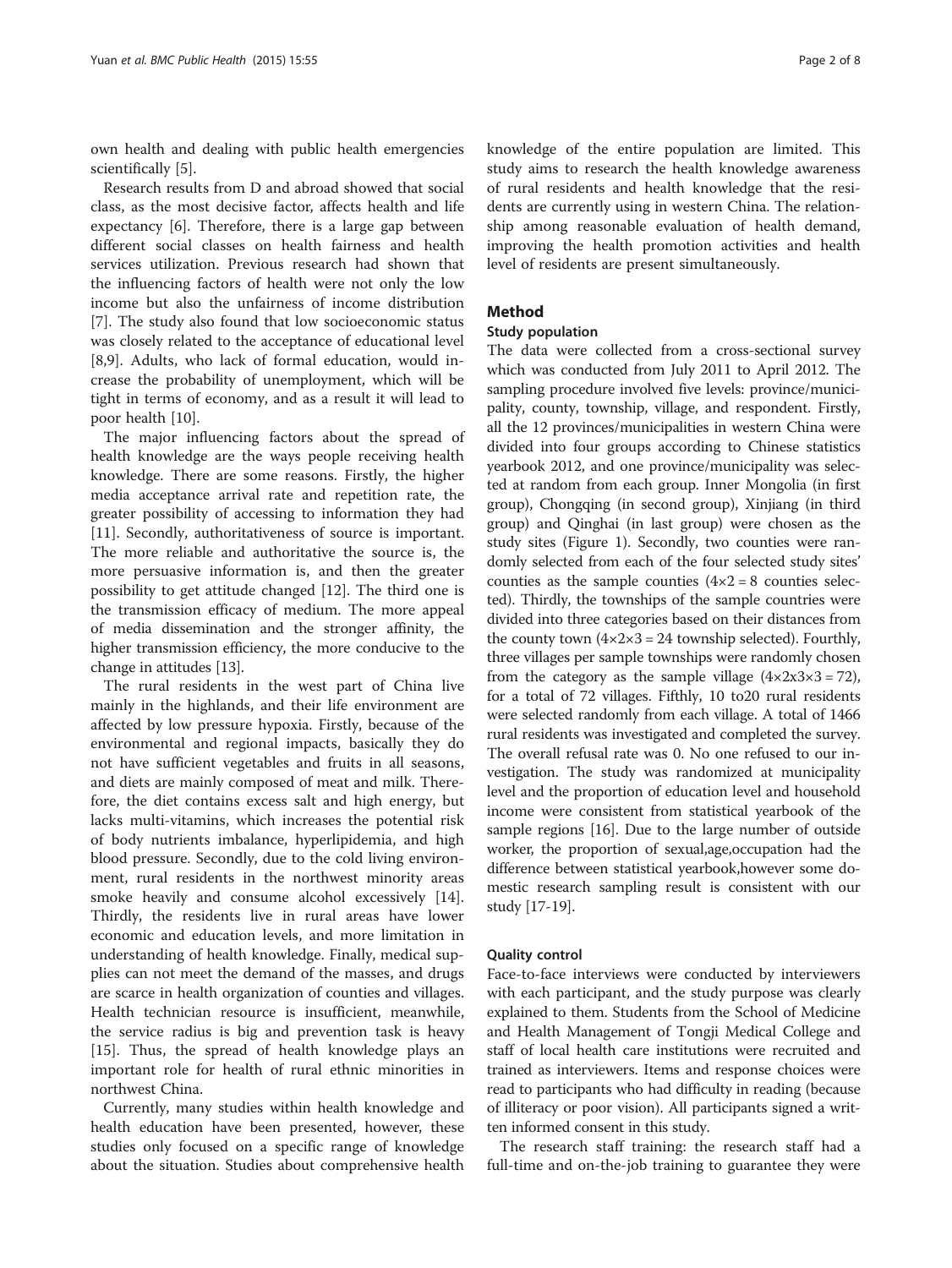own health and dealing with public health emergencies scientifically [[5\]](#page-7-0).

Research results from D and abroad showed that social class, as the most decisive factor, affects health and life expectancy [\[6](#page-7-0)]. Therefore, there is a large gap between different social classes on health fairness and health services utilization. Previous research had shown that the influencing factors of health were not only the low income but also the unfairness of income distribution [[7\]](#page-7-0). The study also found that low socioeconomic status was closely related to the acceptance of educational level [[8,9\]](#page-7-0). Adults, who lack of formal education, would increase the probability of unemployment, which will be tight in terms of economy, and as a result it will lead to poor health [\[10\]](#page-7-0).

The major influencing factors about the spread of health knowledge are the ways people receiving health knowledge. There are some reasons. Firstly, the higher media acceptance arrival rate and repetition rate, the greater possibility of accessing to information they had [[11\]](#page-7-0). Secondly, authoritativeness of source is important. The more reliable and authoritative the source is, the more persuasive information is, and then the greater possibility to get attitude changed [\[12\]](#page-7-0). The third one is the transmission efficacy of medium. The more appeal of media dissemination and the stronger affinity, the higher transmission efficiency, the more conducive to the change in attitudes [\[13\]](#page-7-0).

The rural residents in the west part of China live mainly in the highlands, and their life environment are affected by low pressure hypoxia. Firstly, because of the environmental and regional impacts, basically they do not have sufficient vegetables and fruits in all seasons, and diets are mainly composed of meat and milk. Therefore, the diet contains excess salt and high energy, but lacks multi-vitamins, which increases the potential risk of body nutrients imbalance, hyperlipidemia, and high blood pressure. Secondly, due to the cold living environment, rural residents in the northwest minority areas smoke heavily and consume alcohol excessively [\[14](#page-7-0)]. Thirdly, the residents live in rural areas have lower economic and education levels, and more limitation in understanding of health knowledge. Finally, medical supplies can not meet the demand of the masses, and drugs are scarce in health organization of counties and villages. Health technician resource is insufficient, meanwhile, the service radius is big and prevention task is heavy [[15\]](#page-7-0). Thus, the spread of health knowledge plays an important role for health of rural ethnic minorities in northwest China.

Currently, many studies within health knowledge and health education have been presented, however, these studies only focused on a specific range of knowledge about the situation. Studies about comprehensive health

knowledge of the entire population are limited. This study aims to research the health knowledge awareness of rural residents and health knowledge that the residents are currently using in western China. The relationship among reasonable evaluation of health demand, improving the health promotion activities and health level of residents are present simultaneously.

#### Method

# Study population

The data were collected from a cross-sectional survey which was conducted from July 2011 to April 2012. The sampling procedure involved five levels: province/municipality, county, township, village, and respondent. Firstly, all the 12 provinces/municipalities in western China were divided into four groups according to Chinese statistics yearbook 2012, and one province/municipality was selected at random from each group. Inner Mongolia (in first group), Chongqing (in second group), Xinjiang (in third group) and Qinghai (in last group) were chosen as the study sites (Figure [1\)](#page-2-0). Secondly, two counties were randomly selected from each of the four selected study sites' counties as the sample counties  $(4 \times 2 = 8$  counties selected). Thirdly, the townships of the sample countries were divided into three categories based on their distances from the county town  $(4 \times 2 \times 3 = 24$  township selected). Fourthly, three villages per sample townships were randomly chosen from the category as the sample village  $(4 \times 2 \times 3 \times 3 = 72)$ , for a total of 72 villages. Fifthly, 10 to20 rural residents were selected randomly from each village. A total of 1466 rural residents was investigated and completed the survey. The overall refusal rate was 0. No one refused to our investigation. The study was randomized at municipality level and the proportion of education level and household income were consistent from statistical yearbook of the sample regions [\[16\]](#page-7-0). Due to the large number of outside worker, the proportion of sexual,age,occupation had the difference between statistical yearbook,however some domestic research sampling result is consistent with our study [[17-19\]](#page-7-0).

### Quality control

Face-to-face interviews were conducted by interviewers with each participant, and the study purpose was clearly explained to them. Students from the School of Medicine and Health Management of Tongji Medical College and staff of local health care institutions were recruited and trained as interviewers. Items and response choices were read to participants who had difficulty in reading (because of illiteracy or poor vision). All participants signed a written informed consent in this study.

The research staff training: the research staff had a full-time and on-the-job training to guarantee they were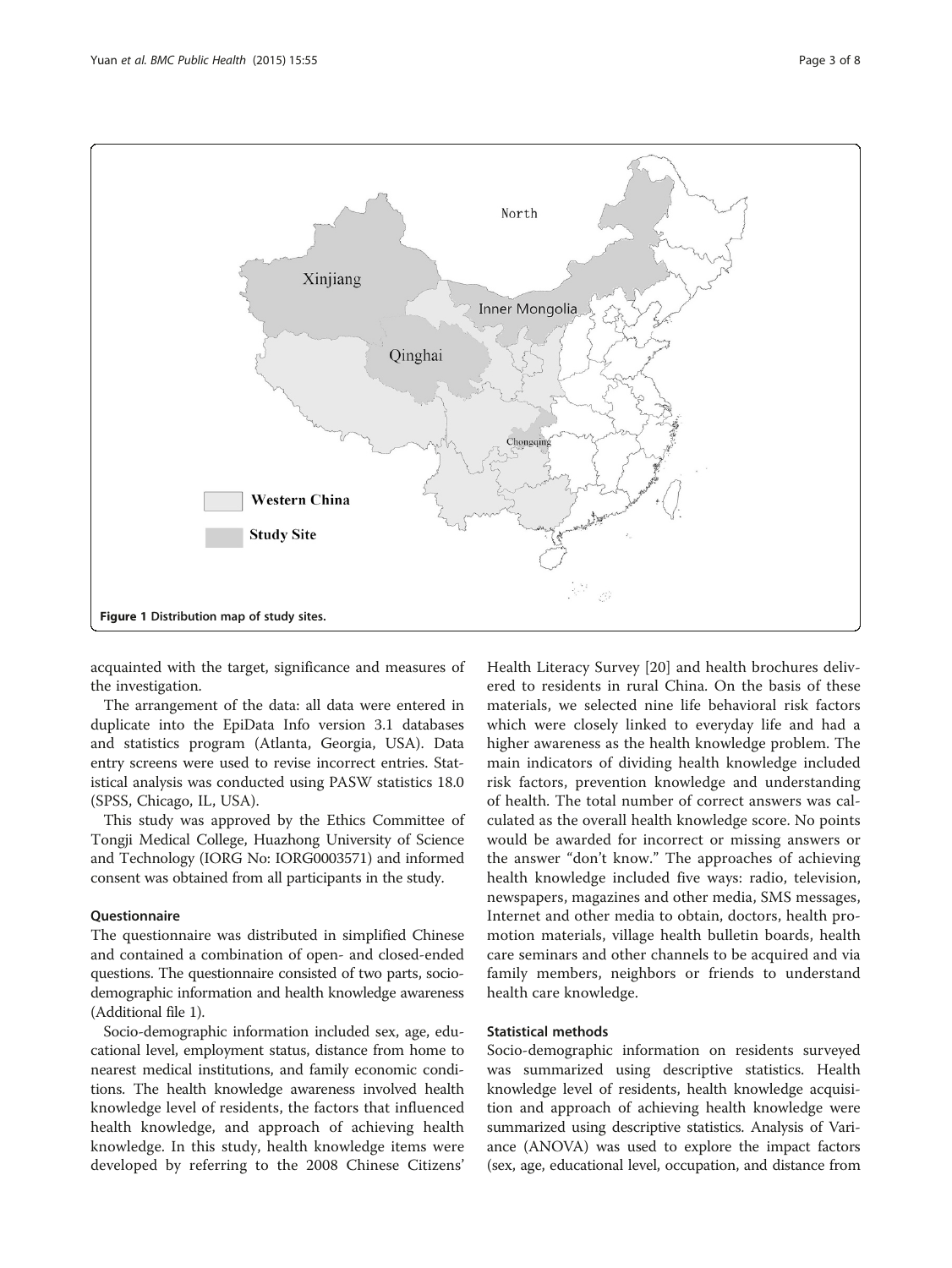<span id="page-2-0"></span>

acquainted with the target, significance and measures of the investigation.

The arrangement of the data: all data were entered in duplicate into the EpiData Info version 3.1 databases and statistics program (Atlanta, Georgia, USA). Data entry screens were used to revise incorrect entries. Statistical analysis was conducted using PASW statistics 18.0 (SPSS, Chicago, IL, USA).

This study was approved by the Ethics Committee of Tongji Medical College, Huazhong University of Science and Technology (IORG No: IORG0003571) and informed consent was obtained from all participants in the study.

# Questionnaire

The questionnaire was distributed in simplified Chinese and contained a combination of open- and closed-ended questions. The questionnaire consisted of two parts, sociodemographic information and health knowledge awareness (Additional file [1](#page-7-0)).

Socio-demographic information included sex, age, educational level, employment status, distance from home to nearest medical institutions, and family economic conditions. The health knowledge awareness involved health knowledge level of residents, the factors that influenced health knowledge, and approach of achieving health knowledge. In this study, health knowledge items were developed by referring to the 2008 Chinese Citizens'

Health Literacy Survey [[20\]](#page-7-0) and health brochures delivered to residents in rural China. On the basis of these materials, we selected nine life behavioral risk factors which were closely linked to everyday life and had a higher awareness as the health knowledge problem. The main indicators of dividing health knowledge included risk factors, prevention knowledge and understanding of health. The total number of correct answers was calculated as the overall health knowledge score. No points would be awarded for incorrect or missing answers or the answer "don't know." The approaches of achieving health knowledge included five ways: radio, television, newspapers, magazines and other media, SMS messages, Internet and other media to obtain, doctors, health promotion materials, village health bulletin boards, health care seminars and other channels to be acquired and via family members, neighbors or friends to understand health care knowledge.

# Statistical methods

Socio-demographic information on residents surveyed was summarized using descriptive statistics. Health knowledge level of residents, health knowledge acquisition and approach of achieving health knowledge were summarized using descriptive statistics. Analysis of Variance (ANOVA) was used to explore the impact factors (sex, age, educational level, occupation, and distance from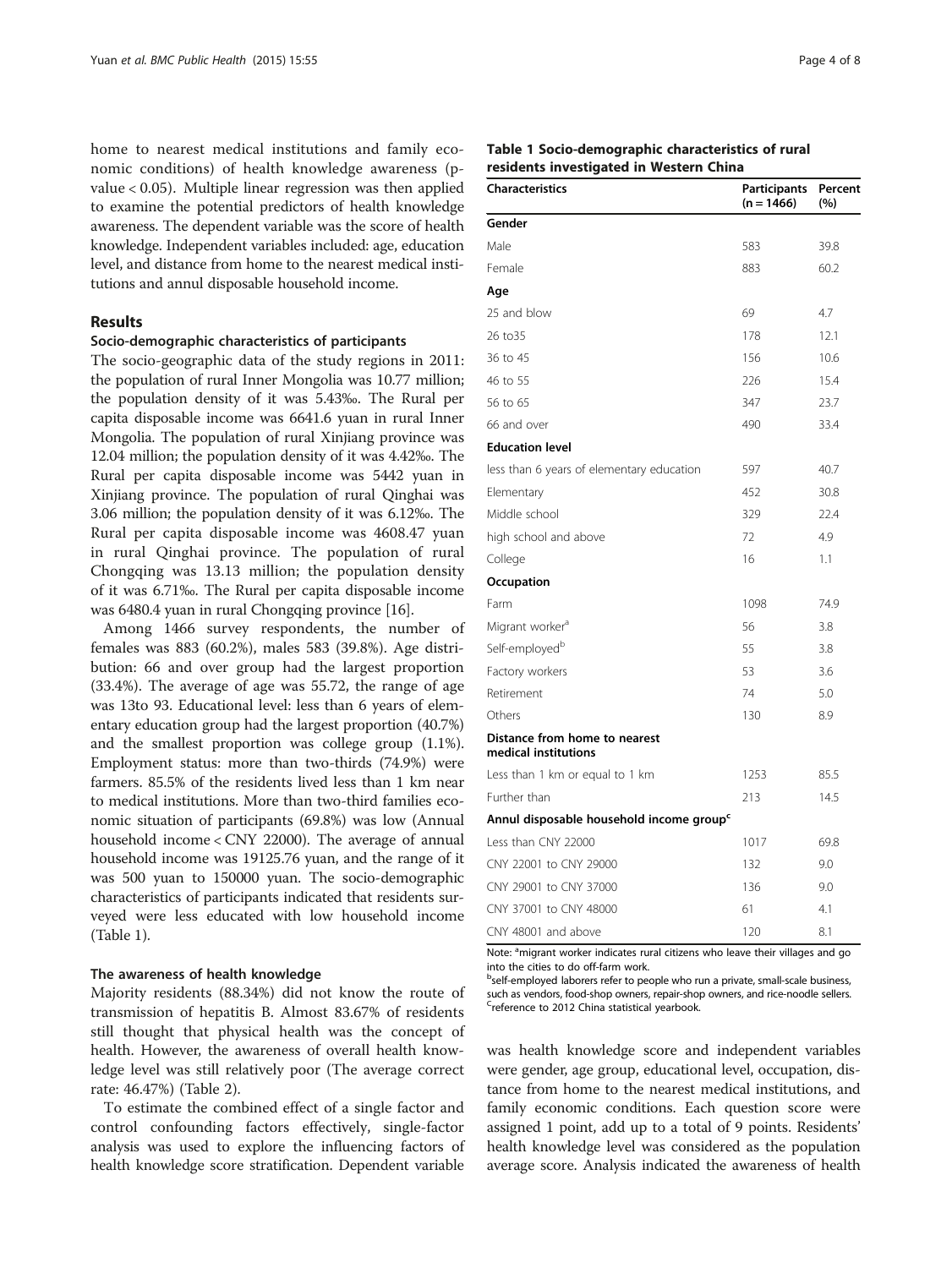home to nearest medical institutions and family economic conditions) of health knowledge awareness (pvalue < 0.05). Multiple linear regression was then applied to examine the potential predictors of health knowledge awareness. The dependent variable was the score of health knowledge. Independent variables included: age, education level, and distance from home to the nearest medical institutions and annul disposable household income.

# Results

#### Socio-demographic characteristics of participants

The socio-geographic data of the study regions in 2011: the population of rural Inner Mongolia was 10.77 million; the population density of it was 5.43‰. The Rural per capita disposable income was 6641.6 yuan in rural Inner Mongolia. The population of rural Xinjiang province was 12.04 million; the population density of it was 4.42‰. The Rural per capita disposable income was 5442 yuan in Xinjiang province. The population of rural Qinghai was 3.06 million; the population density of it was 6.12‰. The Rural per capita disposable income was 4608.47 yuan in rural Qinghai province. The population of rural Chongqing was 13.13 million; the population density of it was 6.71‰. The Rural per capita disposable income was 6480.4 yuan in rural Chongqing province [\[16\]](#page-7-0).

Among 1466 survey respondents, the number of females was 883 (60.2%), males 583 (39.8%). Age distribution: 66 and over group had the largest proportion (33.4%). The average of age was 55.72, the range of age was 13to 93. Educational level: less than 6 years of elementary education group had the largest proportion (40.7%) and the smallest proportion was college group (1.1%). Employment status: more than two-thirds (74.9%) were farmers. 85.5% of the residents lived less than 1 km near to medical institutions. More than two-third families economic situation of participants (69.8%) was low (Annual household income < CNY 22000). The average of annual household income was 19125.76 yuan, and the range of it was 500 yuan to 150000 yuan. The socio-demographic characteristics of participants indicated that residents surveyed were less educated with low household income (Table 1).

#### The awareness of health knowledge

Majority residents (88.34%) did not know the route of transmission of hepatitis B. Almost 83.67% of residents still thought that physical health was the concept of health. However, the awareness of overall health knowledge level was still relatively poor (The average correct rate: 46.47%) (Table [2](#page-4-0)).

To estimate the combined effect of a single factor and control confounding factors effectively, single-factor analysis was used to explore the influencing factors of health knowledge score stratification. Dependent variable

#### Table 1 Socio-demographic characteristics of rural residents investigated in Western China

| <b>Characteristics</b>                                                                     | <b>Participants</b><br>$(n = 1466)$ | Percent<br>(%) |
|--------------------------------------------------------------------------------------------|-------------------------------------|----------------|
| Gender                                                                                     |                                     |                |
| Male                                                                                       | 583                                 | 39.8           |
| Female                                                                                     | 883                                 | 60.2           |
| Age                                                                                        |                                     |                |
| 25 and blow                                                                                | 69                                  | 4.7            |
| 26 to 35                                                                                   | 178                                 | 12.1           |
| 36 to 45                                                                                   | 156                                 | 10.6           |
| 46 to 55                                                                                   | 226                                 | 15.4           |
| 56 to 65                                                                                   | 347                                 | 23.7           |
| 66 and over                                                                                | 490                                 | 33.4           |
| <b>Education level</b>                                                                     |                                     |                |
| less than 6 years of elementary education                                                  | 597                                 | 40.7           |
| Elementary                                                                                 | 452                                 | 30.8           |
| Middle school                                                                              | 329                                 | 22.4           |
| high school and above                                                                      | 72                                  | 4.9            |
| College                                                                                    | 16                                  | 1.1            |
| Occupation                                                                                 |                                     |                |
| Farm                                                                                       | 1098                                | 74.9           |
| Migrant worker <sup>a</sup>                                                                | 56                                  | 3.8            |
| Self-employed <sup>b</sup>                                                                 | 55                                  | 3.8            |
| Factory workers                                                                            | 53                                  | 3.6            |
| Retirement                                                                                 | 74                                  | 5.0            |
| Others                                                                                     | 130                                 | 8.9            |
| Distance from home to nearest<br>medical institutions                                      |                                     |                |
| Less than 1 km or equal to 1 km                                                            | 1253                                | 85.5           |
| Further than                                                                               | 213                                 | 14.5           |
| Annul disposable household income group <sup>c</sup>                                       |                                     |                |
| Less than CNY 22000                                                                        | 1017                                | 69.8           |
| CNY 22001 to CNY 29000                                                                     | 132                                 | 9.0            |
| CNY 29001 to CNY 37000                                                                     | 136                                 | 9.0            |
| CNY 37001 to CNY 48000                                                                     | 61                                  | 4.1            |
| CNY 48001 and above                                                                        | 120                                 | 8.1            |
| Note: <sup>a</sup> migrant worker indicates rural citizens who leave their villages and go |                                     |                |

into the cities to do off-farm work.

<sup>b</sup>self-employed laborers refer to people who run a private, small-scale business, such as vendors, food-shop owners, repair-shop owners, and rice-noodle sellers. <sup>C</sup>reference to 2012 China statistical yearbook.

was health knowledge score and independent variables were gender, age group, educational level, occupation, distance from home to the nearest medical institutions, and family economic conditions. Each question score were assigned 1 point, add up to a total of 9 points. Residents' health knowledge level was considered as the population average score. Analysis indicated the awareness of health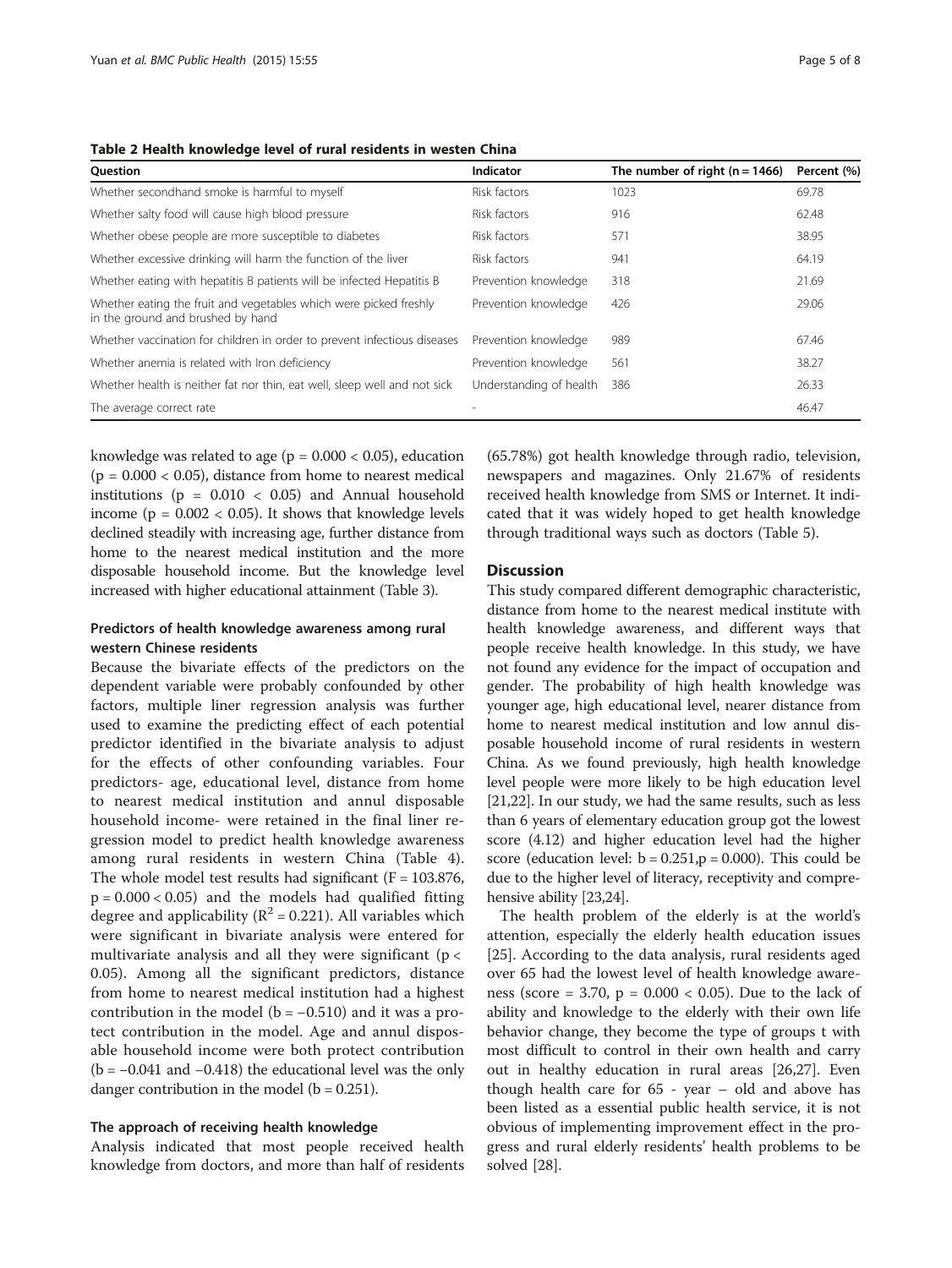<span id="page-4-0"></span>Table 2 Health knowledge level of rural residents in westen China

| <b>Ouestion</b>                                                                                        | Indicator               | The number of right $(n = 1466)$ | Percent (%) |
|--------------------------------------------------------------------------------------------------------|-------------------------|----------------------------------|-------------|
| Whether secondhand smoke is harmful to myself                                                          | Risk factors            | 1023                             | 69.78       |
| Whether salty food will cause high blood pressure                                                      | Risk factors            | 916                              | 62.48       |
| Whether obese people are more susceptible to diabetes                                                  | Risk factors            | 571                              | 38.95       |
| Whether excessive drinking will harm the function of the liver                                         | Risk factors            | 941                              | 64.19       |
| Whether eating with hepatitis B patients will be infected Hepatitis B                                  | Prevention knowledge    | 318                              | 21.69       |
| Whether eating the fruit and vegetables which were picked freshly<br>in the ground and brushed by hand | Prevention knowledge    | 426                              | 29.06       |
| Whether vaccination for children in order to prevent infectious diseases                               | Prevention knowledge    | 989                              | 67.46       |
| Whether anemia is related with Iron deficiency                                                         | Prevention knowledge    | 561                              | 38.27       |
| Whether health is neither fat nor thin, eat well, sleep well and not sick                              | Understanding of health | 386                              | 26.33       |
| The average correct rate                                                                               |                         |                                  | 46.47       |

knowledge was related to age ( $p = 0.000 < 0.05$ ), education  $(p = 0.000 < 0.05)$ , distance from home to nearest medical institutions ( $p = 0.010 \lt 0.05$ ) and Annual household income ( $p = 0.002 < 0.05$ ). It shows that knowledge levels declined steadily with increasing age, further distance from home to the nearest medical institution and the more disposable household income. But the knowledge level increased with higher educational attainment (Table [3](#page-5-0)).

# Predictors of health knowledge awareness among rural western Chinese residents

Because the bivariate effects of the predictors on the dependent variable were probably confounded by other factors, multiple liner regression analysis was further used to examine the predicting effect of each potential predictor identified in the bivariate analysis to adjust for the effects of other confounding variables. Four predictors- age, educational level, distance from home to nearest medical institution and annul disposable household income- were retained in the final liner regression model to predict health knowledge awareness among rural residents in western China (Table [4](#page-5-0)). The whole model test results had significant  $(F = 103.876,$  $p = 0.000 < 0.05$  and the models had qualified fitting degree and applicability ( $\mathbb{R}^2$  = 0.221). All variables which were significant in bivariate analysis were entered for multivariate analysis and all they were significant ( $p <$ 0.05). Among all the significant predictors, distance from home to nearest medical institution had a highest contribution in the model ( $b = -0.510$ ) and it was a protect contribution in the model. Age and annul disposable household income were both protect contribution (b = −0.041 and −0.418) the educational level was the only danger contribution in the model  $(b = 0.251)$ .

#### The approach of receiving health knowledge

Analysis indicated that most people received health knowledge from doctors, and more than half of residents

(65.78%) got health knowledge through radio, television, newspapers and magazines. Only 21.67% of residents received health knowledge from SMS or Internet. It indicated that it was widely hoped to get health knowledge through traditional ways such as doctors (Table [5](#page-6-0)).

#### **Discussion**

This study compared different demographic characteristic, distance from home to the nearest medical institute with health knowledge awareness, and different ways that people receive health knowledge. In this study, we have not found any evidence for the impact of occupation and gender. The probability of high health knowledge was younger age, high educational level, nearer distance from home to nearest medical institution and low annul disposable household income of rural residents in western China. As we found previously, high health knowledge level people were more likely to be high education level [[21](#page-7-0),[22](#page-7-0)]. In our study, we had the same results, such as less than 6 years of elementary education group got the lowest score (4.12) and higher education level had the higher score (education level:  $b = 0.251$ ,  $p = 0.000$ ). This could be due to the higher level of literacy, receptivity and comprehensive ability [\[23,24](#page-7-0)].

The health problem of the elderly is at the world's attention, especially the elderly health education issues [[25\]](#page-7-0). According to the data analysis, rural residents aged over 65 had the lowest level of health knowledge awareness (score = 3.70, p = 0.000 < 0.05). Due to the lack of ability and knowledge to the elderly with their own life behavior change, they become the type of groups t with most difficult to control in their own health and carry out in healthy education in rural areas [\[26,27](#page-7-0)]. Even though health care for 65 - year – old and above has been listed as a essential public health service, it is not obvious of implementing improvement effect in the progress and rural elderly residents' health problems to be solved [\[28](#page-7-0)].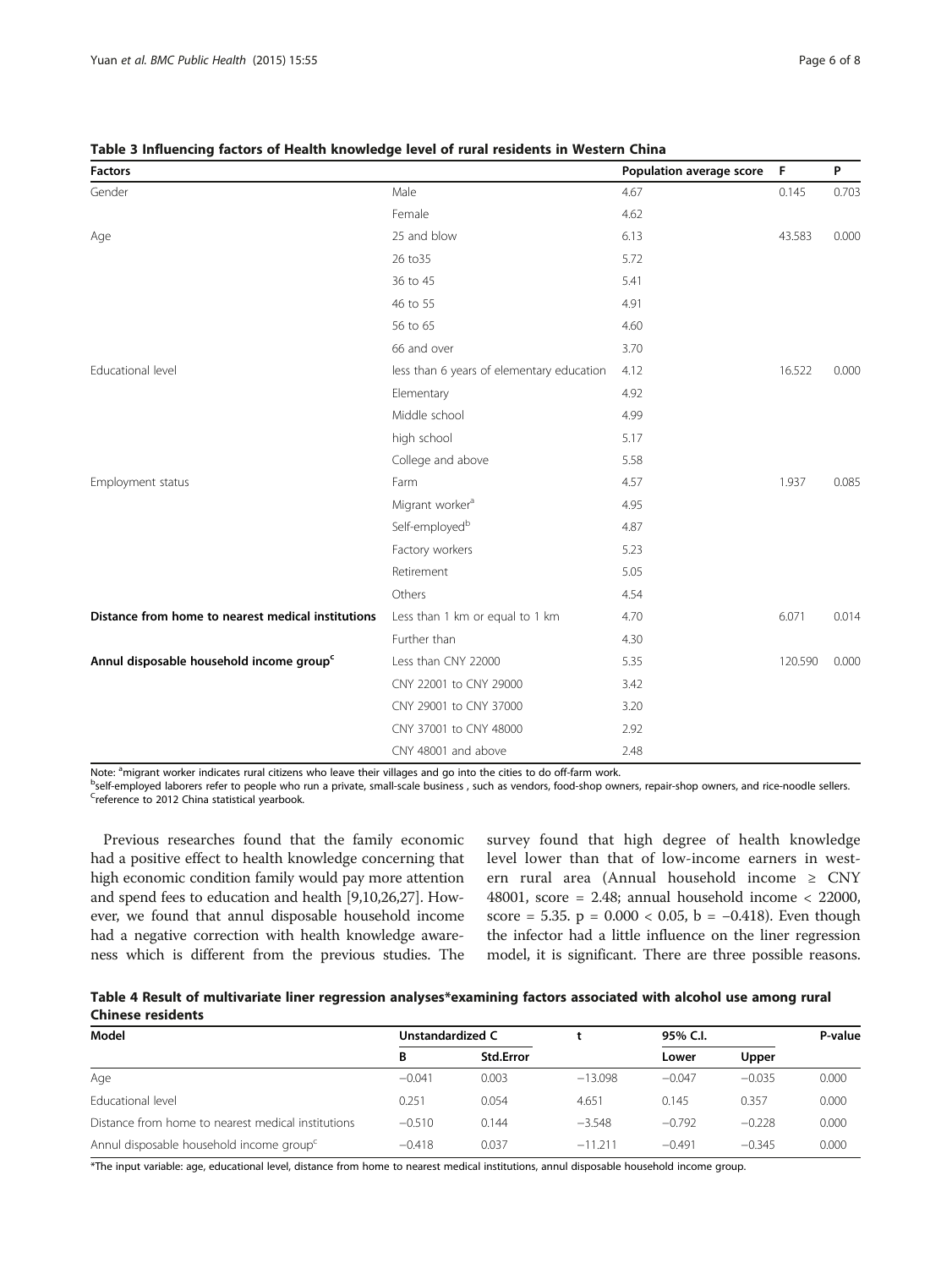| <b>Factors</b>                                       |                                           | Population average score | F       | P     |
|------------------------------------------------------|-------------------------------------------|--------------------------|---------|-------|
| Gender                                               | Male                                      | 4.67                     | 0.145   | 0.703 |
|                                                      | Female                                    | 4.62                     |         |       |
| Age                                                  | 25 and blow                               | 6.13                     | 43.583  | 0.000 |
|                                                      | 26 to 35                                  | 5.72                     |         |       |
|                                                      | 36 to 45                                  | 5.41                     |         |       |
|                                                      | 46 to 55                                  | 4.91                     |         |       |
|                                                      | 56 to 65                                  | 4.60                     |         |       |
|                                                      | 66 and over                               | 3.70                     |         |       |
| Educational level                                    | less than 6 years of elementary education | 4.12                     | 16.522  | 0.000 |
|                                                      | Elementary                                | 4.92                     |         |       |
|                                                      | Middle school                             | 4.99                     |         |       |
|                                                      | high school                               | 5.17                     |         |       |
|                                                      | College and above                         | 5.58                     |         |       |
| Employment status                                    | Farm                                      | 4.57                     | 1.937   | 0.085 |
|                                                      | Migrant worker <sup>a</sup>               | 4.95                     |         |       |
|                                                      | Self-employed <sup>b</sup>                | 4.87                     |         |       |
|                                                      | Factory workers                           | 5.23                     |         |       |
|                                                      | Retirement                                | 5.05                     |         |       |
|                                                      | Others                                    | 4.54                     |         |       |
| Distance from home to nearest medical institutions   | Less than 1 km or equal to 1 km           | 4.70                     | 6.071   | 0.014 |
|                                                      | Further than                              | 4.30                     |         |       |
| Annul disposable household income group <sup>c</sup> | Less than CNY 22000                       | 5.35                     | 120.590 | 0.000 |
|                                                      | CNY 22001 to CNY 29000                    | 3.42                     |         |       |
|                                                      | CNY 29001 to CNY 37000                    | 3.20                     |         |       |
|                                                      | CNY 37001 to CNY 48000                    | 2.92                     |         |       |
|                                                      | CNY 48001 and above                       | 2.48                     |         |       |

# <span id="page-5-0"></span>Table 3 Influencing factors of Health knowledge level of rural residents in Western China

Note: <sup>a</sup>migrant worker indicates rural citizens who leave their villages and go into the cities to do off-farm work<br>Peelf-employed laborers refer to people who run a private, small-scale business, such as vendors, food-sh

bself-employed laborers refer to people who run a private, small-scale business , such as vendors, food-shop owners, repair-shop owners, and rice-noodle sellers.  $c$ <sub>reference to 2012 China statistical yearbook.</sub>

Previous researches found that the family economic had a positive effect to health knowledge concerning that high economic condition family would pay more attention and spend fees to education and health [[9,10,26,27\]](#page-7-0). However, we found that annul disposable household income had a negative correction with health knowledge awareness which is different from the previous studies. The survey found that high degree of health knowledge level lower than that of low-income earners in western rural area (Annual household income ≥ CNY 48001, score = 2.48; annual household income < 22000, score = 5.35. p =  $0.000 < 0.05$ , b =  $-0.418$ ). Even though the infector had a little influence on the liner regression model, it is significant. There are three possible reasons.

| Table 4 Result of multivariate liner regression analyses*examining factors associated with alcohol use among rural |  |  |
|--------------------------------------------------------------------------------------------------------------------|--|--|
| <b>Chinese residents</b>                                                                                           |  |  |

| Model                                                | Unstandardized C |                  |           | 95% C.I. |          |       |
|------------------------------------------------------|------------------|------------------|-----------|----------|----------|-------|
|                                                      | B                | <b>Std.Error</b> |           | Lower    | Upper    |       |
| Age                                                  | $-0.041$         | 0.003            | $-13.098$ | $-0.047$ | $-0.035$ | 0.000 |
| Educational level                                    | 0.251            | 0.054            | 4.651     | 0.145    | 0.357    | 0.000 |
| Distance from home to nearest medical institutions   | $-0.510$         | 0.144            | $-3.548$  | $-0.792$ | $-0.228$ | 0.000 |
| Annul disposable household income group <sup>c</sup> | $-0.418$         | 0.037            | $-11.211$ | $-0.491$ | $-0.345$ | 0.000 |

\*The input variable: age, educational level, distance from home to nearest medical institutions, annul disposable household income group.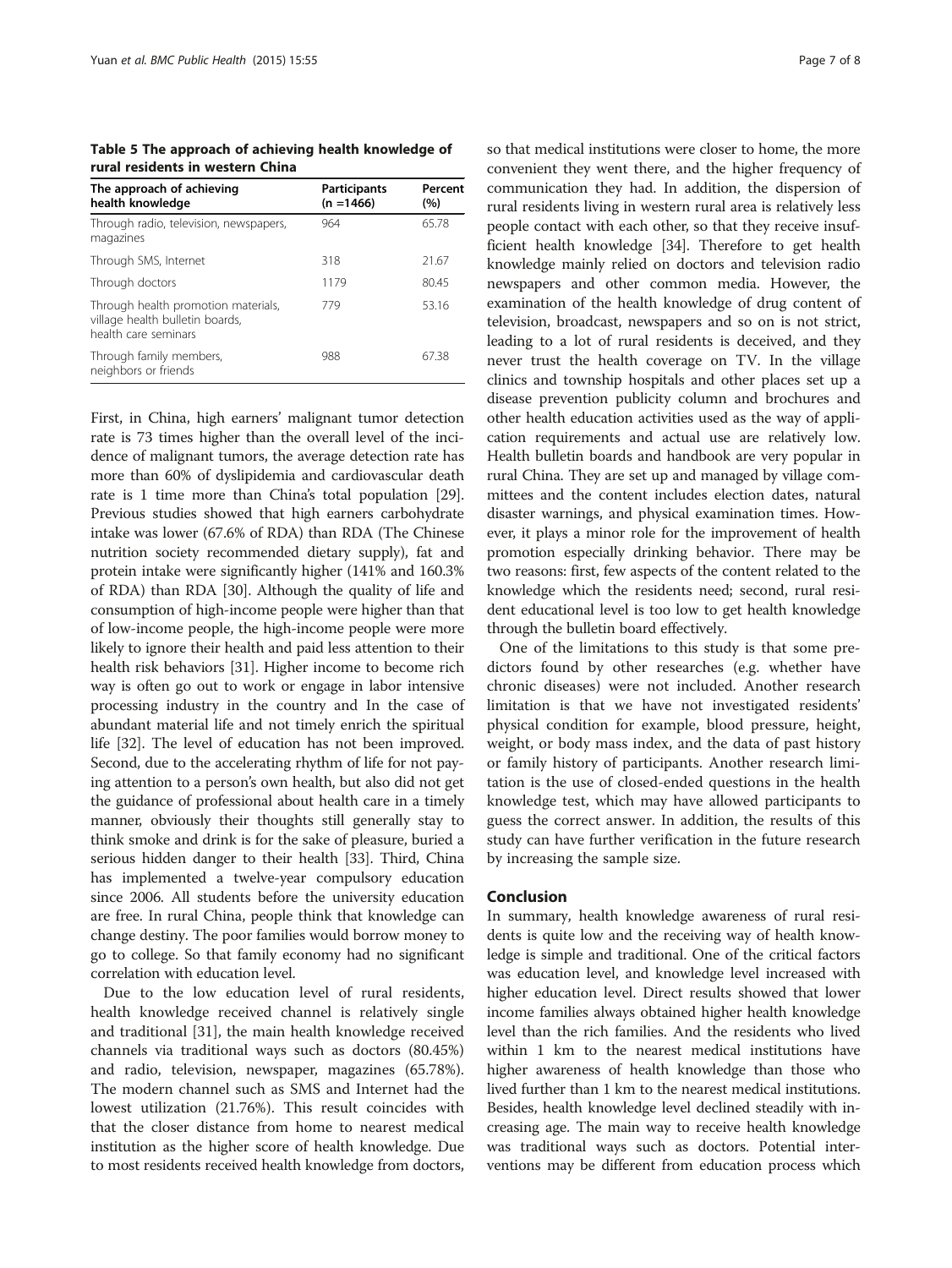<span id="page-6-0"></span>Table 5 The approach of achieving health knowledge of rural residents in western China

| The approach of achieving<br>health knowledge                                                  | <b>Participants</b><br>$(n = 1466)$ | Percent<br>(%) |
|------------------------------------------------------------------------------------------------|-------------------------------------|----------------|
| Through radio, television, newspapers,<br>magazines                                            | 964                                 | 65.78          |
| Through SMS, Internet                                                                          | 318                                 | 21.67          |
| Through doctors                                                                                | 1179                                | 80.45          |
| Through health promotion materials,<br>village health bulletin boards,<br>health care seminars | 779                                 | 53.16          |
| Through family members,<br>neighbors or friends                                                | 988                                 | 67.38          |

First, in China, high earners' malignant tumor detection rate is 73 times higher than the overall level of the incidence of malignant tumors, the average detection rate has more than 60% of dyslipidemia and cardiovascular death rate is 1 time more than China's total population [[29](#page-7-0)]. Previous studies showed that high earners carbohydrate intake was lower (67.6% of RDA) than RDA (The Chinese nutrition society recommended dietary supply), fat and protein intake were significantly higher (141% and 160.3% of RDA) than RDA [\[30](#page-7-0)]. Although the quality of life and consumption of high-income people were higher than that of low-income people, the high-income people were more likely to ignore their health and paid less attention to their health risk behaviors [[31\]](#page-7-0). Higher income to become rich way is often go out to work or engage in labor intensive processing industry in the country and In the case of abundant material life and not timely enrich the spiritual life [\[32\]](#page-7-0). The level of education has not been improved. Second, due to the accelerating rhythm of life for not paying attention to a person's own health, but also did not get the guidance of professional about health care in a timely manner, obviously their thoughts still generally stay to think smoke and drink is for the sake of pleasure, buried a serious hidden danger to their health [[33](#page-7-0)]. Third, China has implemented a twelve-year compulsory education since 2006. All students before the university education are free. In rural China, people think that knowledge can change destiny. The poor families would borrow money to go to college. So that family economy had no significant correlation with education level.

Due to the low education level of rural residents, health knowledge received channel is relatively single and traditional [[31](#page-7-0)], the main health knowledge received channels via traditional ways such as doctors (80.45%) and radio, television, newspaper, magazines (65.78%). The modern channel such as SMS and Internet had the lowest utilization (21.76%). This result coincides with that the closer distance from home to nearest medical institution as the higher score of health knowledge. Due to most residents received health knowledge from doctors, so that medical institutions were closer to home, the more convenient they went there, and the higher frequency of communication they had. In addition, the dispersion of rural residents living in western rural area is relatively less people contact with each other, so that they receive insufficient health knowledge [[34\]](#page-7-0). Therefore to get health knowledge mainly relied on doctors and television radio newspapers and other common media. However, the examination of the health knowledge of drug content of television, broadcast, newspapers and so on is not strict, leading to a lot of rural residents is deceived, and they never trust the health coverage on TV. In the village clinics and township hospitals and other places set up a disease prevention publicity column and brochures and other health education activities used as the way of application requirements and actual use are relatively low. Health bulletin boards and handbook are very popular in rural China. They are set up and managed by village committees and the content includes election dates, natural disaster warnings, and physical examination times. However, it plays a minor role for the improvement of health promotion especially drinking behavior. There may be two reasons: first, few aspects of the content related to the knowledge which the residents need; second, rural resident educational level is too low to get health knowledge through the bulletin board effectively.

One of the limitations to this study is that some predictors found by other researches (e.g. whether have chronic diseases) were not included. Another research limitation is that we have not investigated residents' physical condition for example, blood pressure, height, weight, or body mass index, and the data of past history or family history of participants. Another research limitation is the use of closed-ended questions in the health knowledge test, which may have allowed participants to guess the correct answer. In addition, the results of this study can have further verification in the future research by increasing the sample size.

# Conclusion

In summary, health knowledge awareness of rural residents is quite low and the receiving way of health knowledge is simple and traditional. One of the critical factors was education level, and knowledge level increased with higher education level. Direct results showed that lower income families always obtained higher health knowledge level than the rich families. And the residents who lived within 1 km to the nearest medical institutions have higher awareness of health knowledge than those who lived further than 1 km to the nearest medical institutions. Besides, health knowledge level declined steadily with increasing age. The main way to receive health knowledge was traditional ways such as doctors. Potential interventions may be different from education process which